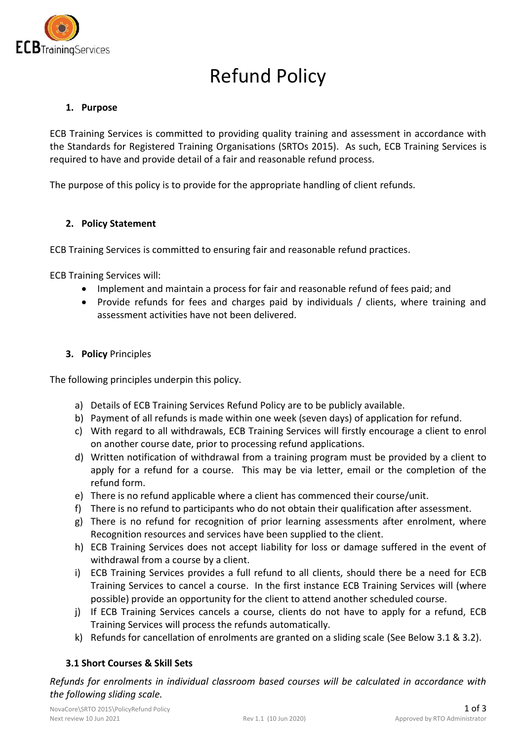

# Refund Policy

### **1. Purpose**

ECB Training Services is committed to providing quality training and assessment in accordance with the Standards for Registered Training Organisations (SRTOs 2015). As such, ECB Training Services is required to have and provide detail of a fair and reasonable refund process.

The purpose of this policy is to provide for the appropriate handling of client refunds.

#### **2. Policy Statement**

ECB Training Services is committed to ensuring fair and reasonable refund practices.

ECB Training Services will:

- Implement and maintain a process for fair and reasonable refund of fees paid; and
- Provide refunds for fees and charges paid by individuals / clients, where training and assessment activities have not been delivered.

#### **3. Policy** Principles

The following principles underpin this policy.

- a) Details of ECB Training Services Refund Policy are to be publicly available.
- b) Payment of all refunds is made within one week (seven days) of application for refund.
- c) With regard to all withdrawals, ECB Training Services will firstly encourage a client to enrol on another course date, prior to processing refund applications.
- d) Written notification of withdrawal from a training program must be provided by a client to apply for a refund for a course. This may be via letter, email or the completion of the refund form.
- e) There is no refund applicable where a client has commenced their course/unit.
- f) There is no refund to participants who do not obtain their qualification after assessment.
- g) There is no refund for recognition of prior learning assessments after enrolment, where Recognition resources and services have been supplied to the client.
- h) ECB Training Services does not accept liability for loss or damage suffered in the event of withdrawal from a course by a client.
- i) ECB Training Services provides a full refund to all clients, should there be a need for ECB Training Services to cancel a course. In the first instance ECB Training Services will (where possible) provide an opportunity for the client to attend another scheduled course.
- j) If ECB Training Services cancels a course, clients do not have to apply for a refund, ECB Training Services will process the refunds automatically.
- k) Refunds for cancellation of enrolments are granted on a sliding scale (See Below 3.1 & 3.2).

## **3.1 Short Courses & Skill Sets**

*Refunds for enrolments in individual classroom based courses will be calculated in accordance with the following sliding scale.*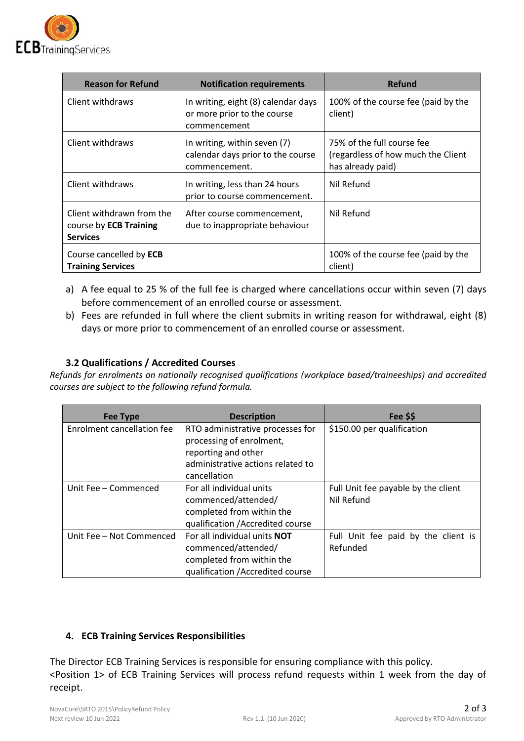

| <b>Reason for Refund</b>                                               | <b>Notification requirements</b>                                                   | Refund                                                                                |
|------------------------------------------------------------------------|------------------------------------------------------------------------------------|---------------------------------------------------------------------------------------|
| Client withdraws                                                       | In writing, eight (8) calendar days<br>or more prior to the course<br>commencement | 100% of the course fee (paid by the<br>client)                                        |
| Client withdraws                                                       | In writing, within seven (7)<br>calendar days prior to the course<br>commencement. | 75% of the full course fee<br>(regardless of how much the Client<br>has already paid) |
| Client withdraws                                                       | In writing, less than 24 hours<br>prior to course commencement.                    | Nil Refund                                                                            |
| Client withdrawn from the<br>course by ECB Training<br><b>Services</b> | After course commencement,<br>due to inappropriate behaviour                       | Nil Refund                                                                            |
| Course cancelled by ECB<br><b>Training Services</b>                    |                                                                                    | 100% of the course fee (paid by the<br>client)                                        |

- a) A fee equal to 25 % of the full fee is charged where cancellations occur within seven (7) days before commencement of an enrolled course or assessment.
- b) Fees are refunded in full where the client submits in writing reason for withdrawal, eight (8) days or more prior to commencement of an enrolled course or assessment.

## **3.2 Qualifications / Accredited Courses**

*Refunds for enrolments on nationally recognised qualifications (workplace based/traineeships) and accredited courses are subject to the following refund formula.* 

| Fee Type                          | <b>Description</b>                  | Fee \$\$                            |
|-----------------------------------|-------------------------------------|-------------------------------------|
| <b>Enrolment cancellation fee</b> | RTO administrative processes for    | \$150.00 per qualification          |
|                                   | processing of enrolment,            |                                     |
|                                   | reporting and other                 |                                     |
|                                   | administrative actions related to   |                                     |
|                                   | cancellation                        |                                     |
| Unit Fee - Commenced              | For all individual units            | Full Unit fee payable by the client |
|                                   | commenced/attended/                 | Nil Refund                          |
|                                   | completed from within the           |                                     |
|                                   | qualification / Accredited course   |                                     |
| Unit Fee - Not Commenced          | For all individual units <b>NOT</b> | Full Unit fee paid by the client is |
|                                   | commenced/attended/                 | Refunded                            |
|                                   | completed from within the           |                                     |
|                                   | qualification / Accredited course   |                                     |

## **4. ECB Training Services Responsibilities**

The Director ECB Training Services is responsible for ensuring compliance with this policy. <Position 1> of ECB Training Services will process refund requests within 1 week from the day of receipt.